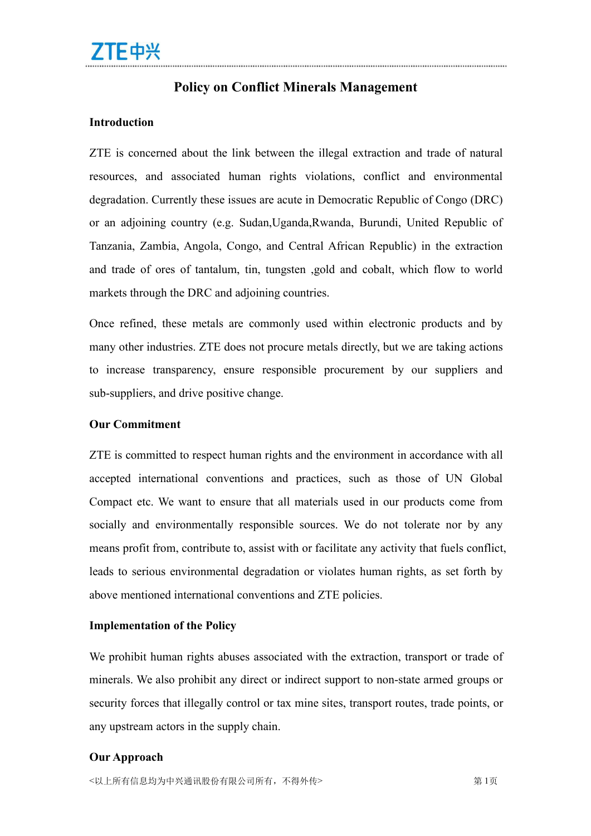## **Policy on Conflict Minerals Management**

## **Introduction**

ZTE is concerned about the link between the illegal extraction and trade of natural resources, and associated human rights violations, conflict and environmental degradation. Currently these issues are acute in Democratic Republic of Congo (DRC) or an adjoining country (e.g. Sudan,Uganda,Rwanda, Burundi, United Republic of Tanzania, Zambia, Angola, Congo, and Central African Republic) in the extraction and trade of ores of tantalum, tin, tungsten ,gold and cobalt, which flow to world markets through the DRC and adjoining countries.

Once refined, these metals are commonly used within electronic products and by many other industries. ZTE does not procure metals directly, but we are taking actions to increase transparency, ensure responsible procurement by our suppliers and sub-suppliers, and drive positive change.

## **Our Commitment**

ZTE is committed to respect human rights and the environment in accordance with all accepted international conventions and practices, such as those of UN Global Compact etc. We want to ensure that all materials used in our products come from socially and environmentally responsible sources. We do not tolerate nor by any means profit from, contribute to, assist with or facilitate any activity that fuels conflict, leads to serious environmental degradation or violates human rights, as set forth by above mentioned international conventions and ZTE policies.

## **Implementation of the Policy**

We prohibit human rights abuses associated with the extraction, transport or trade of minerals. We also prohibit any direct or indirect support to non-state armed groups or security forces that illegally control or tax mine sites, transport routes, trade points, or any upstream actors in the supply chain.

## **Our Approach**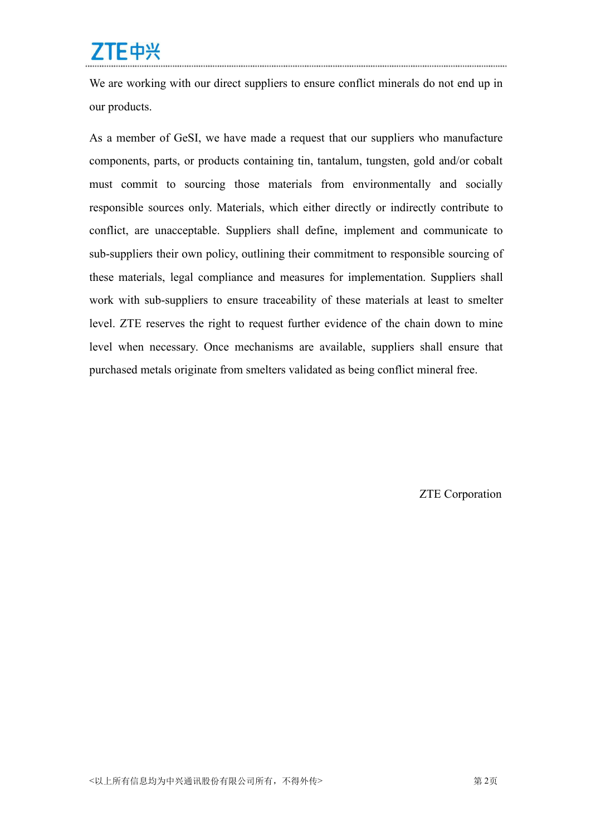# ZTE中兴

We are working with our direct suppliers to ensure conflict minerals do not end up in our products.

As a member of GeSI, we have made a request that our suppliers who manufacture components, parts, or products containing tin, tantalum, tungsten, gold and/or cobalt must commit to sourcing those materials from environmentally and socially responsible sources only. Materials, which either directly or indirectly contribute to conflict, are unacceptable. Suppliers shall define, implement and communicate to sub-suppliers their own policy, outlining their commitment to responsible sourcing of these materials, legal compliance and measures for implementation. Suppliers shall work with sub-suppliers to ensure traceability of these materials at least to smelter level. ZTE reserves the right to request further evidence of the chain down to mine level when necessary. Once mechanisms are available, suppliers shall ensure that purchased metals originate from smelters validated as being conflict mineral free.

ZTE Corporation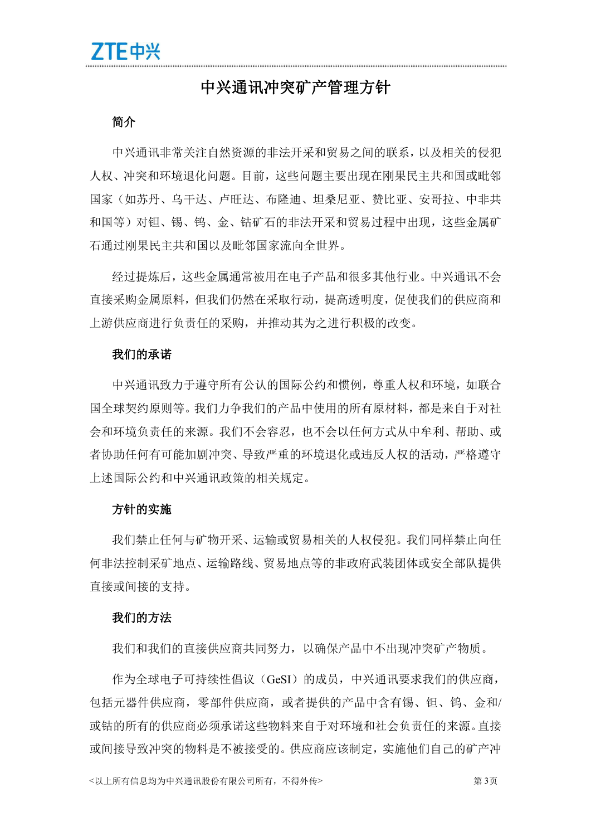# 中兴通讯冲突矿产管理方针

## おもの おおや おおや おおや おおや おおや あいしん あいしん あいしん あいしゅう

中兴通讯非常关注自然资源的非法开采和贸易之间的联系,以及相关的侵犯 人权、冲突和环境退化问题。目前,这些问题主要出现在刚果民主共和国或毗邻 国家(如苏丹、乌干达、卢旺达、布降迪、坦桑尼亚、赞比亚、安哥拉、中非共 和国等)对钽、锡、钨、金、钴矿石的非法开采和贸易过程中出现,这些金属矿 石通过刚果民主共和国以及毗邻国家流向全世界。

经过提炼后,这些金属通常被用在电子产品和很多其他行业。中兴通讯不会 直接采购金属原料,但我们仍然在采取行动,提高透明度,促使我们的供应商和 上游供应商进行负责任的采购,并推动其为之进行积极的改变。

#### 我们的承诺

中兴通讯致力于遵守所有公认的国际公约和惯例,尊重人权和环境,如联合 国全球契约原则等。我们力争我们的产品中使用的所有原材料,都是来自于对社 会和环境负责任的来源。我们不会容忍,也不会以任何方式从中牟利、帮助、或 者协助任何有可能加剧冲突、导致严重的环境退化或违反人权的活动,严格遵守 上述国际公约和中兴通讯政策的相关规定。

#### 方针的实施

我们禁止任何与矿物开采、运输或贸易相关的人权侵犯。我们同样禁止向任 何非法控制采矿地点、运输路线、贸易地点等的非政府武装团体或安全部队提供 直接或间接的支持。

### 我们的方法

我们和我们的直接供应商共同努力,以确保产品中不出现冲突矿产物质。

作为全球电子可持续性倡议(GeSI)的成员,中兴通讯要求我们的供应商, 包括元器件供应商,零部件供应商,或者提供的产品中含有锡、钽、钨、金和/ 或钴的所有的供应商必须承诺这些物料来自于对环境和社会负责任的来源。直接 或间接导致冲突的物料是不被接受的。供应商应该制定,实施他们自己的矿产冲